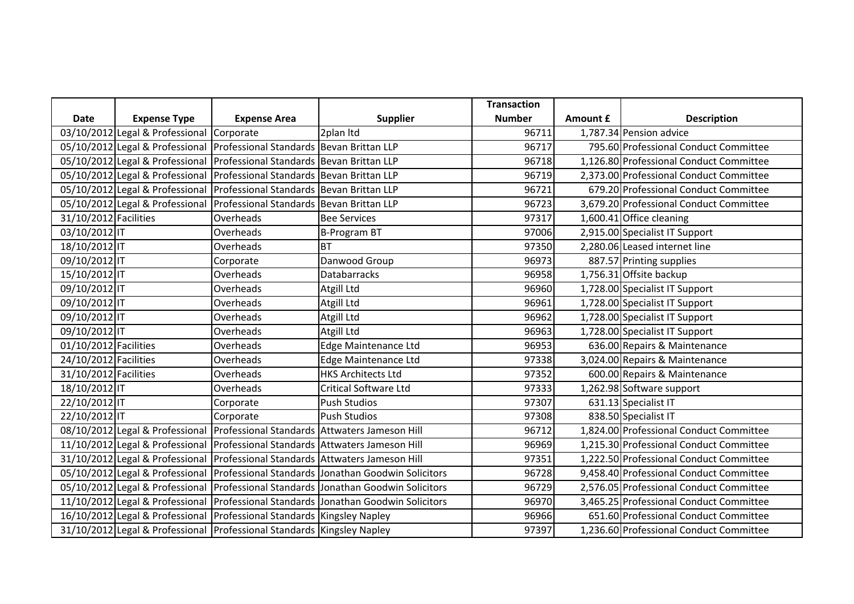|                       |                                           |                                                                               |                                                                                        | <b>Transaction</b> |          |                                         |
|-----------------------|-------------------------------------------|-------------------------------------------------------------------------------|----------------------------------------------------------------------------------------|--------------------|----------|-----------------------------------------|
| Date                  | <b>Expense Type</b>                       | <b>Expense Area</b>                                                           | <b>Supplier</b>                                                                        | <b>Number</b>      | Amount £ | <b>Description</b>                      |
|                       | 03/10/2012 Legal & Professional Corporate |                                                                               | 2plan Itd                                                                              | 96711              |          | 1,787.34 Pension advice                 |
|                       |                                           | 05/10/2012 Legal & Professional Professional Standards Bevan Brittan LLP      |                                                                                        | 96717              |          | 795.60 Professional Conduct Committee   |
|                       |                                           | 05/10/2012 Legal & Professional   Professional Standards   Bevan Brittan LLP  |                                                                                        | 96718              |          | 1,126.80 Professional Conduct Committee |
|                       |                                           | 05/10/2012 Legal & Professional   Professional Standards   Bevan Brittan LLP  |                                                                                        | 96719              |          | 2,373.00 Professional Conduct Committee |
|                       |                                           | 05/10/2012 Legal & Professional Professional Standards Bevan Brittan LLP      |                                                                                        | 96721              |          | 679.20 Professional Conduct Committee   |
|                       |                                           | 05/10/2012 Legal & Professional Professional Standards Bevan Brittan LLP      |                                                                                        | 96723              |          | 3,679.20 Professional Conduct Committee |
| 31/10/2012 Facilities |                                           | Overheads                                                                     | <b>Bee Services</b>                                                                    | 97317              |          | 1,600.41 Office cleaning                |
| 03/10/2012 IT         |                                           | Overheads                                                                     | <b>B-Program BT</b>                                                                    | 97006              |          | 2,915.00 Specialist IT Support          |
| 18/10/2012 IT         |                                           | Overheads                                                                     | <b>BT</b>                                                                              | 97350              |          | 2,280.06 Leased internet line           |
| 09/10/2012 IT         |                                           | Corporate                                                                     | Danwood Group                                                                          | 96973              |          | 887.57 Printing supplies                |
| 15/10/2012 IT         |                                           | Overheads                                                                     | <b>Databarracks</b>                                                                    | 96958              |          | 1,756.31 Offsite backup                 |
| 09/10/2012 IT         |                                           | Overheads                                                                     | Atgill Ltd                                                                             | 96960              |          | 1,728.00 Specialist IT Support          |
| 09/10/2012 IT         |                                           | Overheads                                                                     | Atgill Ltd                                                                             | 96961              |          | 1,728.00 Specialist IT Support          |
| 09/10/2012 IT         |                                           | Overheads                                                                     | Atgill Ltd                                                                             | 96962              |          | 1,728.00 Specialist IT Support          |
| 09/10/2012 IT         |                                           | Overheads                                                                     | Atgill Ltd                                                                             | 96963              |          | 1,728.00 Specialist IT Support          |
| 01/10/2012 Facilities |                                           | Overheads                                                                     | <b>Edge Maintenance Ltd</b>                                                            | 96953              |          | 636.00 Repairs & Maintenance            |
| 24/10/2012 Facilities |                                           | Overheads                                                                     | Edge Maintenance Ltd                                                                   | 97338              |          | 3,024.00 Repairs & Maintenance          |
| 31/10/2012 Facilities |                                           | Overheads                                                                     | <b>HKS Architects Ltd</b>                                                              | 97352              |          | 600.00 Repairs & Maintenance            |
| 18/10/2012 IT         |                                           | Overheads                                                                     | <b>Critical Software Ltd</b>                                                           | 97333              |          | 1,262.98 Software support               |
| 22/10/2012 IT         |                                           | Corporate                                                                     | <b>Push Studios</b>                                                                    | 97307              |          | 631.13 Specialist IT                    |
| 22/10/2012 IT         |                                           | Corporate                                                                     | <b>Push Studios</b>                                                                    | 97308              |          | 838.50 Specialist IT                    |
|                       |                                           | 08/10/2012 Legal & Professional Professional Standards Attwaters Jameson Hill |                                                                                        | 96712              |          | 1,824.00 Professional Conduct Committee |
|                       |                                           | 11/10/2012 Legal & Professional Professional Standards Attwaters Jameson Hill |                                                                                        | 96969              |          | 1,215.30 Professional Conduct Committee |
|                       |                                           | 31/10/2012 Legal & Professional Professional Standards Attwaters Jameson Hill |                                                                                        | 97351              |          | 1,222.50 Professional Conduct Committee |
|                       |                                           |                                                                               | 05/10/2012 Legal & Professional   Professional Standards   Jonathan Goodwin Solicitors | 96728              |          | 9,458.40 Professional Conduct Committee |
|                       |                                           |                                                                               | 05/10/2012 Legal & Professional Professional Standards Jonathan Goodwin Solicitors     | 96729              |          | 2,576.05 Professional Conduct Committee |
|                       |                                           |                                                                               | 11/10/2012 Legal & Professional Professional Standards Jonathan Goodwin Solicitors     | 96970              |          | 3,465.25 Professional Conduct Committee |
|                       |                                           | 16/10/2012 Legal & Professional Professional Standards Kingsley Napley        |                                                                                        | 96966              |          | 651.60 Professional Conduct Committee   |
|                       |                                           | 31/10/2012 Legal & Professional Professional Standards Kingsley Napley        |                                                                                        | 97397              |          | 1,236.60 Professional Conduct Committee |